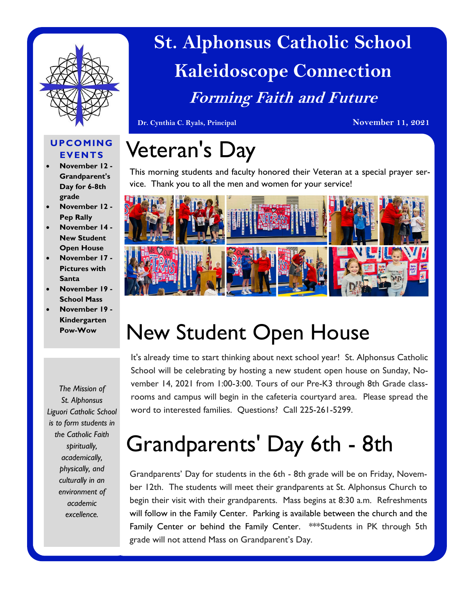

## **St. Alphonsus Catholic School Kaleidoscope Connection Forming Faith and Future**

**Dr. Cynthia C. Ryals, Principal November 11, 2021**

#### **UPCOMING EVENTS**

- **November 12 - Grandparent's Day for 6-8th grade**
- **November 12 - Pep Rally**
- **November 14 - New Student Open House**
- **November 17 - Pictures with Santa**
- **November 19 - School Mass**
- **November 19 - Kindergarten Pow-Wow**

*The Mission of St. Alphonsus Liguori Catholic School is to form students in the Catholic Faith spiritually, academically, physically, and culturally in an environment of academic excellence.*

## Veteran's Day

This morning students and faculty honored their Veteran at a special prayer service. Thank you to all the men and women for your service!



# New Student Open House

It's already time to start thinking about next school year! St. Alphonsus Catholic School will be celebrating by hosting a new student open house on Sunday, November 14, 2021 from 1:00-3:00. Tours of our Pre-K3 through 8th Grade classrooms and campus will begin in the cafeteria courtyard area. Please spread the word to interested families. Questions? Call 225-261-5299.

# Grandparents' Day 6th - 8th

Grandparents' Day for students in the 6th - 8th grade will be on Friday, November 12th. The students will meet their grandparents at St. Alphonsus Church to begin their visit with their grandparents. Mass begins at 8:30 a.m. Refreshments will follow in the Family Center. Parking is available between the church and the Family Center or behind the Family Center. \*\*\*Students in PK through 5th grade will not attend Mass on Grandparent's Day.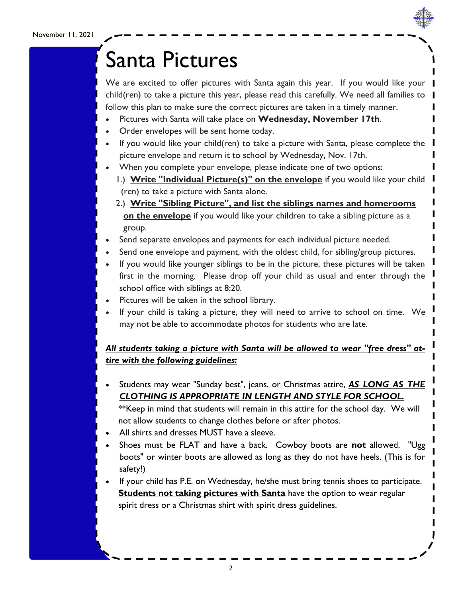### Santa Pictures

We are excited to offer pictures with Santa again this year. If you would like your child(ren) to take a picture this year, please read this carefully. We need all families to follow this plan to make sure the correct pictures are taken in a timely manner.

- Pictures with Santa will take place on **Wednesday, November 17th**.
- Order envelopes will be sent home today.
- If you would like your child(ren) to take a picture with Santa, please complete the picture envelope and return it to school by Wednesday, Nov. 17th.
- When you complete your envelope, please indicate one of two options:
	- 1.) **Write "Individual Picture(s)" on the envelope** if you would like your child (ren) to take a picture with Santa alone.
	- 2.) **Write "Sibling Picture", and list the siblings names and homerooms on the envelope** if you would like your children to take a sibling picture as a group.
- Send separate envelopes and payments for each individual picture needed.
- Send one envelope and payment, with the oldest child, for sibling/group pictures.
- If you would like younger siblings to be in the picture, these pictures will be taken first in the morning. Please drop off your child as usual and enter through the school office with siblings at 8:20.
- Pictures will be taken in the school library.
- If your child is taking a picture, they will need to arrive to school on time. We may not be able to accommodate photos for students who are late.

#### *All students taking a picture with Santa will be allowed to wear "free dress" attire with the following guidelines:*

- Students may wear "Sunday best", jeans, or Christmas attire, *AS LONG AS THE CLOTHING IS APPROPRIATE IN LENGTH AND STYLE FOR SCHOOL.* \*\*Keep in mind that students will remain in this attire for the school day. We will not allow students to change clothes before or after photos.
- All shirts and dresses MUST have a sleeve.
- Shoes must be FLAT and have a back. Cowboy boots are **not** allowed. "Ugg boots" or winter boots are allowed as long as they do not have heels. (This is for safety!)
- If your child has P.E. on Wednesday, he/she must bring tennis shoes to participate. **Students not taking pictures with Santa** have the option to wear regular spirit dress or a Christmas shirt with spirit dress guidelines.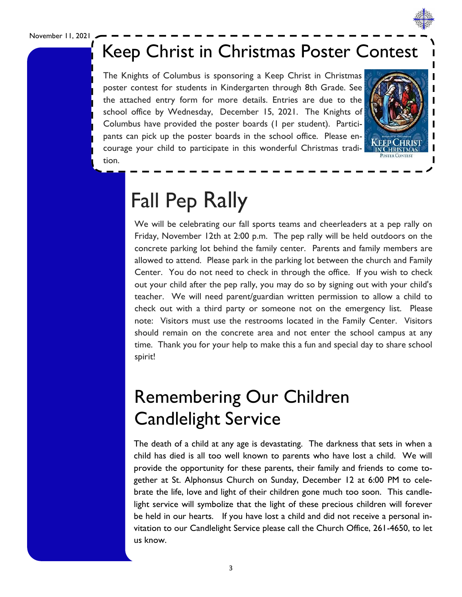November 11, 2021

#### Keep Christ in Christmas Poster Contest

The Knights of Columbus is sponsoring a Keep Christ in Christmas poster contest for students in Kindergarten through 8th Grade. See the attached entry form for more details. Entries are due to the school office by Wednesday, December 15, 2021. The Knights of Columbus have provided the poster boards (1 per student). Participants can pick up the poster boards in the school office. Please encourage your child to participate in this wonderful Christmas tradition.



### Fall Pep Rally

We will be celebrating our fall sports teams and cheerleaders at a pep rally on Friday, November 12th at 2:00 p.m. The pep rally will be held outdoors on the concrete parking lot behind the family center. Parents and family members are allowed to attend. Please park in the parking lot between the church and Family Center. You do not need to check in through the office. If you wish to check out your child after the pep rally, you may do so by signing out with your child's teacher. We will need parent/guardian written permission to allow a child to check out with a third party or someone not on the emergency list. Please note: Visitors must use the restrooms located in the Family Center. Visitors should remain on the concrete area and not enter the school campus at any time. Thank you for your help to make this a fun and special day to share school spirit!

#### Remembering Our Children Candlelight Service

The death of a child at any age is devastating. The darkness that sets in when a child has died is all too well known to parents who have lost a child. We will provide the opportunity for these parents, their family and friends to come together at St. Alphonsus Church on Sunday, December 12 at 6:00 PM to celebrate the life, love and light of their children gone much too soon. This candlelight service will symbolize that the light of these precious children will forever be held in our hearts. If you have lost a child and did not receive a personal invitation to our Candlelight Service please call the Church Office, 261-4650, to let us know.